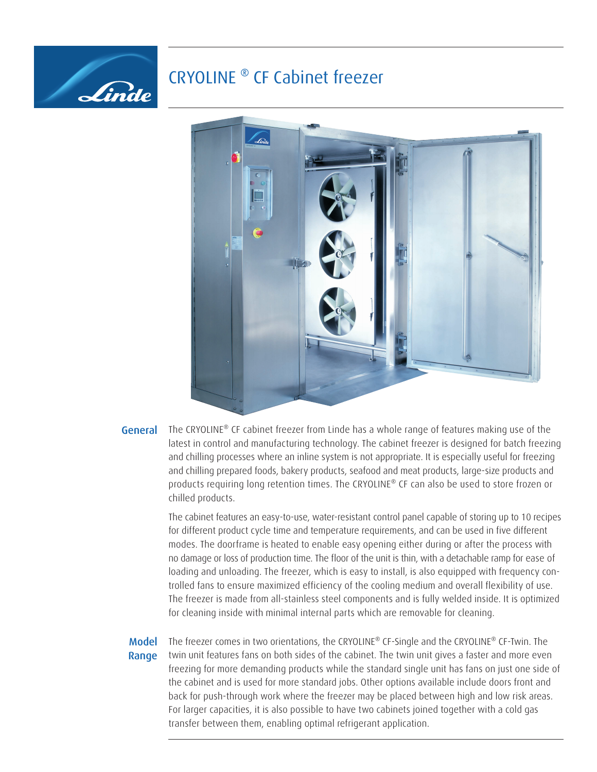# CRYOLINE ® CF Cabinet freezer



## General

Linde

The CRYOLINE<sup>®</sup> CF cabinet freezer from Linde has a whole range of features making use of the latest in control and manufacturing technology. The cabinet freezer is designed for batch freezing and chilling processes where an inline system is not appropriate. It is especially useful for freezing and chilling prepared foods, bakery products, seafood and meat products, large-size products and products requiring long retention times. The CRYOLINE® CF can also be used to store frozen or chilled products.

The cabinet features an easy-to-use, water-resistant control panel capable of storing up to 10 recipes for different product cycle time and temperature requirements, and can be used in five different modes. The doorframe is heated to enable easy opening either during or after the process with no damage or loss of production time. The floor of the unit is thin, with a detachable ramp for ease of loading and unloading. The freezer, which is easy to install, is also equipped with frequency controlled fans to ensure maximized efficiency of the cooling medium and overall flexibility of use. The freezer is made from all-stainless steel components and is fully welded inside. It is optimized for cleaning inside with minimal internal parts which are removable for cleaning.

### Model Range

The freezer comes in two orientations, the CRYOLINE® CF-Single and the CRYOLINE® CF-Twin. The twin unit features fans on both sides of the cabinet. The twin unit gives a faster and more even freezing for more demanding products while the standard single unit has fans on just one side of the cabinet and is used for more standard jobs. Other options available include doors front and back for push-through work where the freezer may be placed between high and low risk areas. For larger capacities, it is also possible to have two cabinets joined together with a cold gas transfer between them, enabling optimal refrigerant application.